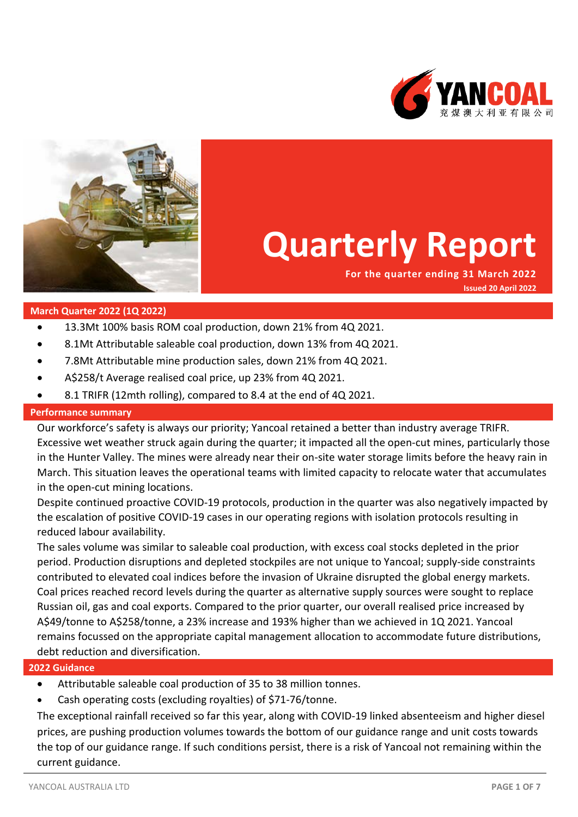



# **Quarterly Report**

**For the quarter ending 31 March 2022 Issued 20 April 2022**

## **March Quarter 2022 (1Q 2022)**

- 13.3Mt 100% basis ROM coal production, down 21% from 4Q 2021.
- 8.1Mt Attributable saleable coal production, down 13% from 4Q 2021.
- 7.8Mt Attributable mine production sales, down 21% from 4Q 2021.
- A\$258/t Average realised coal price, up 23% from 4Q 2021.
- 8.1 TRIFR (12mth rolling), compared to 8.4 at the end of 4Q 2021.

## **Performance summary**

Our workforce's safety is always our priority; Yancoal retained a better than industry average TRIFR. Excessive wet weather struck again during the quarter; it impacted all the open-cut mines, particularly those in the Hunter Valley. The mines were already near their on-site water storage limits before the heavy rain in March. This situation leaves the operational teams with limited capacity to relocate water that accumulates in the open-cut mining locations.

Despite continued proactive COVID-19 protocols, production in the quarter was also negatively impacted by the escalation of positive COVID-19 cases in our operating regions with isolation protocols resulting in reduced labour availability.

The sales volume was similar to saleable coal production, with excess coal stocks depleted in the prior period. Production disruptions and depleted stockpiles are not unique to Yancoal; supply-side constraints contributed to elevated coal indices before the invasion of Ukraine disrupted the global energy markets. Coal prices reached record levels during the quarter as alternative supply sources were sought to replace Russian oil, gas and coal exports. Compared to the prior quarter, our overall realised price increased by A\$49/tonne to A\$258/tonne, a 23% increase and 193% higher than we achieved in 1Q 2021. Yancoal remains focussed on the appropriate capital management allocation to accommodate future distributions, debt reduction and diversification.

## **2022 Guidance**

- Attributable saleable coal production of 35 to 38 million tonnes.
- Cash operating costs (excluding royalties) of \$71-76/tonne.

The exceptional rainfall received so far this year, along with COVID-19 linked absenteeism and higher diesel prices, are pushing production volumes towards the bottom of our guidance range and unit costs towards the top of our guidance range. If such conditions persist, there is a risk of Yancoal not remaining within the current guidance.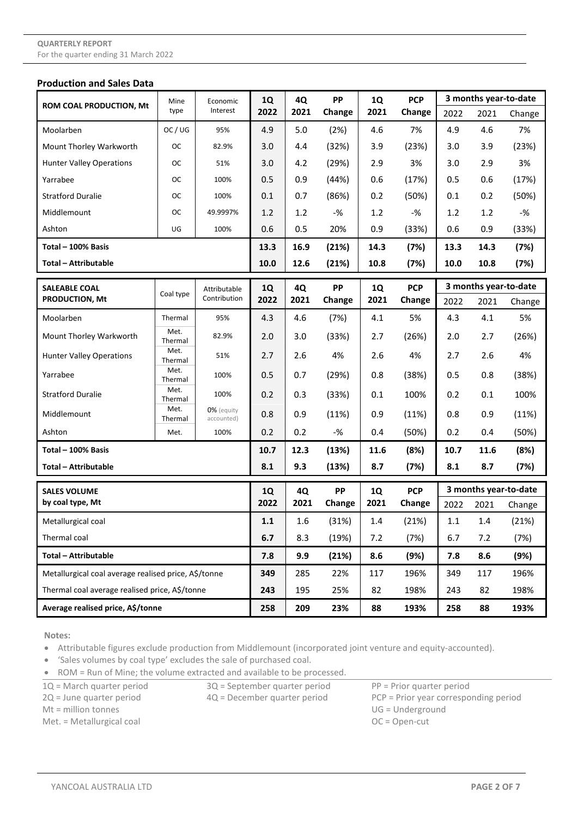#### **Production and Sales Data**

|                                                      | Mine<br>type    | Economic<br>Interest     | <b>1Q</b><br>2022 | 4Q<br>2021 | PP<br>Change | <b>1Q</b><br>2021 | <b>PCP</b><br>Change | 3 months year-to-date |      |                       |
|------------------------------------------------------|-----------------|--------------------------|-------------------|------------|--------------|-------------------|----------------------|-----------------------|------|-----------------------|
| <b>ROM COAL PRODUCTION, Mt</b>                       |                 |                          |                   |            |              |                   |                      | 2022                  | 2021 | Change                |
| Moolarben                                            | OC/UG           | 95%                      | 4.9               | 5.0        | (2%)         | 4.6               | 7%                   | 4.9                   | 4.6  | 7%                    |
| Mount Thorley Warkworth                              | <b>OC</b>       | 82.9%                    | 3.0               | 4.4        | (32%)        | 3.9               | (23%)                | 3.0                   | 3.9  | (23%)                 |
| <b>Hunter Valley Operations</b>                      | ОC              | 51%                      | 3.0               | 4.2        | (29%)        | 2.9               | 3%                   | 3.0                   | 2.9  | 3%                    |
| Yarrabee                                             | ОC              | 100%                     | 0.5               | 0.9        | (44%)        | 0.6               | (17%)                | 0.5                   | 0.6  | (17%)                 |
| <b>Stratford Duralie</b>                             | ОC              | 100%                     | 0.1               | 0.7        | (86%)        | 0.2               | (50%)                | 0.1                   | 0.2  | (50%)                 |
| Middlemount                                          | ОC              | 49.9997%                 | 1.2               | 1.2        | $-$ %        | 1.2               | -%                   | 1.2                   | 1.2  | -%                    |
| Ashton                                               | UG              | 100%                     | 0.6               | 0.5        | 20%          | 0.9               | (33%)                | 0.6                   | 0.9  | (33%)                 |
| Total - 100% Basis                                   |                 |                          |                   | 16.9       | (21%)        | 14.3              | (7%)                 | 13.3                  | 14.3 | (7%)                  |
| <b>Total - Attributable</b>                          |                 |                          | 10.0              | 12.6       | (21%)        | 10.8              | (7%)                 | 10.0                  | 10.8 | (7%)                  |
| <b>SALEABLE COAL</b>                                 |                 | Attributable             | <b>1Q</b>         | 4Q         | PP           | <b>1Q</b>         | <b>PCP</b>           |                       |      | 3 months year-to-date |
| <b>PRODUCTION, Mt</b>                                | Coal type       | Contribution             | 2022              | 2021       | Change       | 2021              | Change               | 2022                  | 2021 | Change                |
| Moolarben                                            | Thermal         | 95%                      | 4.3               | 4.6        | (7%)         | 4.1               | 5%                   | 4.3                   | 4.1  | 5%                    |
| Mount Thorley Warkworth                              | Met.<br>Thermal | 82.9%                    | 2.0               | 3.0        | (33%)        | 2.7               | (26%)                | 2.0                   | 2.7  | (26%)                 |
| <b>Hunter Valley Operations</b>                      | Met.<br>Thermal | 51%                      | 2.7               | 2.6        | 4%           | 2.6               | 4%                   | 2.7                   | 2.6  | 4%                    |
| Yarrabee                                             | Met.<br>Thermal | 100%                     | 0.5               | 0.7        | (29%)        | 0.8               | (38%)                | 0.5                   | 0.8  | (38%)                 |
| <b>Stratford Duralie</b>                             | Met.<br>Thermal | 100%                     | 0.2               | 0.3        | (33%)        | 0.1               | 100%                 | 0.2                   | 0.1  | 100%                  |
| Middlemount                                          | Met.<br>Thermal | 0% (equity<br>accounted) | 0.8               | 0.9        | (11%)        | 0.9               | (11%)                | 0.8                   | 0.9  | (11%)                 |
| Ashton                                               | Met.            | 100%                     | 0.2               | 0.2        | $-%$         | 0.4               | (50%)                | 0.2                   | 0.4  | (50%)                 |
| Total - 100% Basis                                   |                 |                          | 10.7              | 12.3       | (13%)        | 11.6              | (8%)                 | 10.7                  | 11.6 | (8%)                  |
| Total - Attributable                                 |                 |                          | 8.1               | 9.3        | (13%)        | 8.7               | (7%)                 | 8.1                   | 8.7  | (7%)                  |
| <b>SALES VOLUME</b>                                  |                 |                          | <b>1Q</b>         | 4Q         | PP           | <b>1Q</b>         | <b>PCP</b>           | 3 months year-to-date |      |                       |
| by coal type, Mt                                     |                 |                          | 2022              | 2021       | Change       | 2021              | Change               | 2022                  | 2021 | Change                |
| Metallurgical coal                                   |                 |                          | 1.1               | 1.6        | (31%)        | 1.4               | (21%)                | 1.1                   | 1.4  | (21%)                 |
| Thermal coal                                         |                 |                          | 6.7               | 8.3        | (19%)        | 7.2               | (7%)                 | 6.7                   | 7.2  | (7%)                  |
| <b>Total - Attributable</b>                          |                 |                          | 7.8               | 9.9        | (21%)        | 8.6               | (9%)                 | 7.8                   | 8.6  | (9%)                  |
| Metallurgical coal average realised price, A\$/tonne |                 |                          | 349               | 285        | 22%          | 117               | 196%                 | 349                   | 117  | 196%                  |
| Thermal coal average realised price, A\$/tonne       |                 |                          | 243               | 195        | 25%          | 82                | 198%                 | 243                   | 82   | 198%                  |
| Average realised price, A\$/tonne                    |                 |                          | 258               | 209        | 23%          | 88                | 193%                 | 258                   | 88   | 193%                  |

**Notes:**

• Attributable figures exclude production from Middlemount (incorporated joint venture and equity-accounted).

• 'Sales volumes by coal type' excludes the sale of purchased coal.

• ROM = Run of Mine; the volume extracted and available to be processed.

 $1Q =$  March quarter period  $3Q =$  September quarter period  $PP =$  Prior quarter period

Mt = million tonnes UG = Underground

Met. = Metallurgical coal **OC** = Open-cut

2Q = June quarter period 4Q = December quarter period PCP = Prior year corresponding period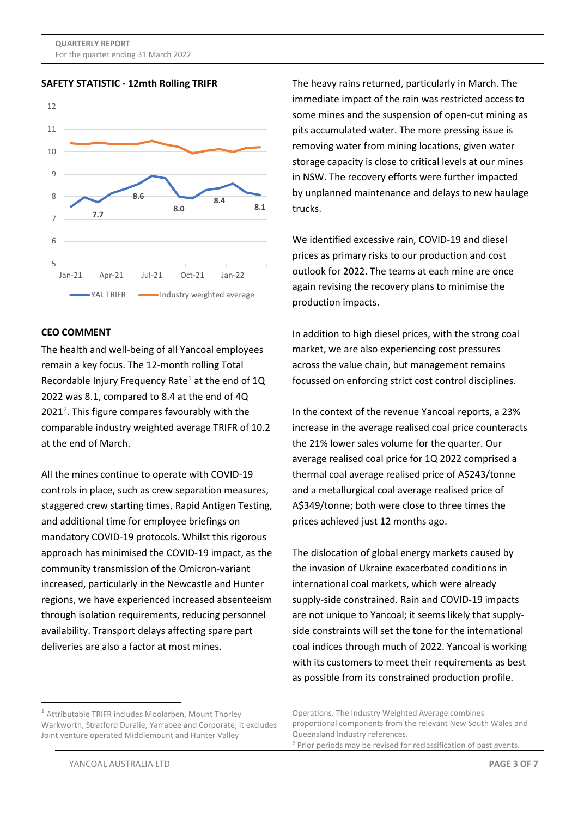**QUARTERLY REPORT** For the quarter ending 31 March 2022

**SAFETY STATISTIC - 12mth Rolling TRIFR**



#### **CEO COMMENT**

The health and well-being of all Yancoal employees remain a key focus. The 12-month rolling Total Recordable Injury Frequency Rate<sup>[1](#page-2-0)</sup> at the end of  $1Q$ 2022 was 8.1, compared to 8.4 at the end of 4Q  $2021<sup>2</sup>$  $2021<sup>2</sup>$ . This figure compares favourably with the comparable industry weighted average TRIFR of 10.2 at the end of March.

All the mines continue to operate with COVID-19 controls in place, such as crew separation measures, staggered crew starting times, Rapid Antigen Testing, and additional time for employee briefings on mandatory COVID-19 protocols. Whilst this rigorous approach has minimised the COVID-19 impact, as the community transmission of the Omicron-variant increased, particularly in the Newcastle and Hunter regions, we have experienced increased absenteeism through isolation requirements, reducing personnel availability. Transport delays affecting spare part deliveries are also a factor at most mines.

The heavy rains returned, particularly in March. The immediate impact of the rain was restricted access to some mines and the suspension of open-cut mining as pits accumulated water. The more pressing issue is removing water from mining locations, given water storage capacity is close to critical levels at our mines in NSW. The recovery efforts were further impacted by unplanned maintenance and delays to new haulage trucks.

We identified excessive rain, COVID-19 and diesel prices as primary risks to our production and cost outlook for 2022. The teams at each mine are once again revising the recovery plans to minimise the production impacts.

In addition to high diesel prices, with the strong coal market, we are also experiencing cost pressures across the value chain, but management remains focussed on enforcing strict cost control disciplines.

In the context of the revenue Yancoal reports, a 23% increase in the average realised coal price counteracts the 21% lower sales volume for the quarter. Our average realised coal price for 1Q 2022 comprised a thermal coal average realised price of A\$243/tonne and a metallurgical coal average realised price of A\$349/tonne; both were close to three times the prices achieved just 12 months ago.

The dislocation of global energy markets caused by the invasion of Ukraine exacerbated conditions in international coal markets, which were already supply-side constrained. Rain and COVID-19 impacts are not unique to Yancoal; it seems likely that supplyside constraints will set the tone for the international coal indices through much of 2022. Yancoal is working with its customers to meet their requirements as best as possible from its constrained production profile.

<span id="page-2-1"></span><span id="page-2-0"></span> $1$  Attributable TRIFR includes Moolarben. Mount Thorley Warkworth, Stratford Duralie, Yarrabee and Corporate; it excludes Joint venture operated Middlemount and Hunter Valley

Operations. The Industry Weighted Average combines proportional components from the relevant New South Wales and Queensland Industry references.

<sup>2</sup> Prior periods may be revised for reclassification of past events.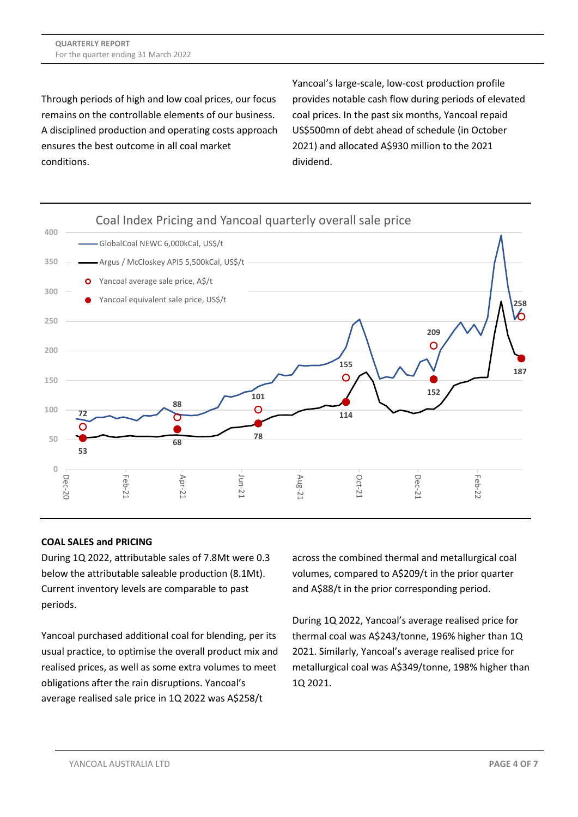Through periods of high and low coal prices, our focus remains on the controllable elements of our business. A disciplined production and operating costs approach ensures the best outcome in all coal market conditions.

Yancoal's large-scale, low-cost production profile provides notable cash flow during periods of elevated coal prices. In the past six months, Yancoal repaid US\$500mn of debt ahead of schedule (in October 2021) and allocated A\$930 million to the 2021 dividend.



# **COAL SALES and PRICING**

During 1Q 2022, attributable sales of 7.8Mt were 0.3 below the attributable saleable production (8.1Mt). Current inventory levels are comparable to past periods.

Yancoal purchased additional coal for blending, per its usual practice, to optimise the overall product mix and realised prices, as well as some extra volumes to meet obligations after the rain disruptions. Yancoal's average realised sale price in 1Q 2022 was A\$258/t

across the combined thermal and metallurgical coal volumes, compared to A\$209/t in the prior quarter and A\$88/t in the prior corresponding period.

During 1Q 2022, Yancoal's average realised price for thermal coal was A\$243/tonne, 196% higher than 1Q 2021. Similarly, Yancoal's average realised price for metallurgical coal was A\$349/tonne, 198% higher than 1Q 2021.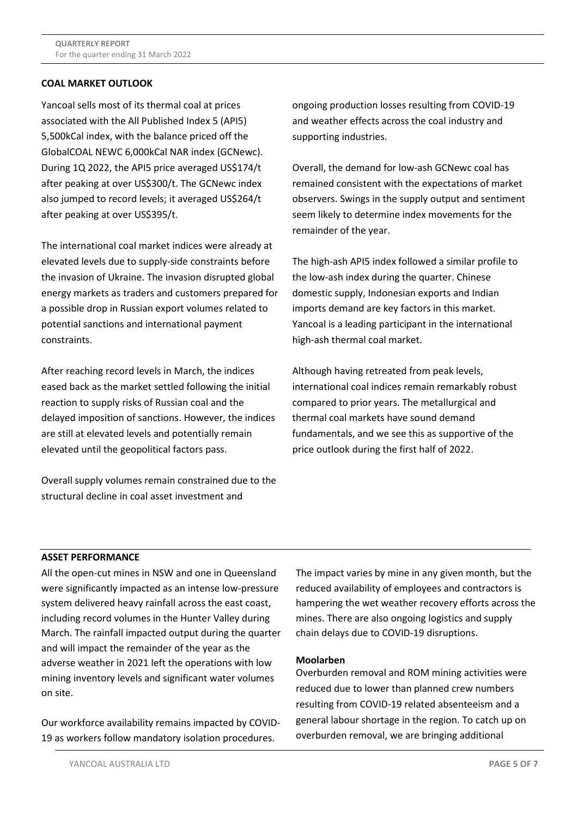## **COAL MARKET OUTLOOK**

Yancoal sells most of its thermal coal at prices associated with the All Published Index 5 (API5) 5,500kCal index, with the balance priced off the GlobalCOAL NEWC 6,000kCal NAR index (GCNewc). During 1Q 2022, the API5 price averaged US\$174/t after peaking at over US\$300/t. The GCNewc index also jumped to record levels; it averaged US\$264/t after peaking at over US\$395/t.

The international coal market indices were already at elevated levels due to supply-side constraints before the invasion of Ukraine. The invasion disrupted global energy markets as traders and customers prepared for a possible drop in Russian export volumes related to potential sanctions and international payment constraints.

After reaching record levels in March, the indices eased back as the market settled following the initial reaction to supply risks of Russian coal and the delayed imposition of sanctions. However, the indices are still at elevated levels and potentially remain elevated until the geopolitical factors pass.

Overall supply volumes remain constrained due to the structural decline in coal asset investment and

ongoing production losses resulting from COVID-19 and weather effects across the coal industry and supporting industries.

Overall, the demand for low-ash GCNewc coal has remained consistent with the expectations of market observers. Swings in the supply output and sentiment seem likely to determine index movements for the remainder of the year.

The high-ash API5 index followed a similar profile to the low-ash index during the quarter. Chinese domestic supply, Indonesian exports and Indian imports demand are key factors in this market. Yancoal is a leading participant in the international high-ash thermal coal market.

Although having retreated from peak levels, international coal indices remain remarkably robust compared to prior years. The metallurgical and thermal coal markets have sound demand fundamentals, and we see this as supportive of the price outlook during the first half of 2022.

#### **ASSET PERFORMANCE**

All the open-cut mines in NSW and one in Queensland were significantly impacted as an intense low-pressure system delivered heavy rainfall across the east coast, including record volumes in the Hunter Valley during March. The rainfall impacted output during the quarter and will impact the remainder of the year as the adverse weather in 2021 left the operations with low mining inventory levels and significant water volumes on site.

Our workforce availability remains impacted by COVID-19 as workers follow mandatory isolation procedures.

The impact varies by mine in any given month, but the reduced availability of employees and contractors is hampering the wet weather recovery efforts across the mines. There are also ongoing logistics and supply chain delays due to COVID-19 disruptions.

#### **Moolarben**

Overburden removal and ROM mining activities were reduced due to lower than planned crew numbers resulting from COVID-19 related absenteeism and a general labour shortage in the region. To catch up on overburden removal, we are bringing additional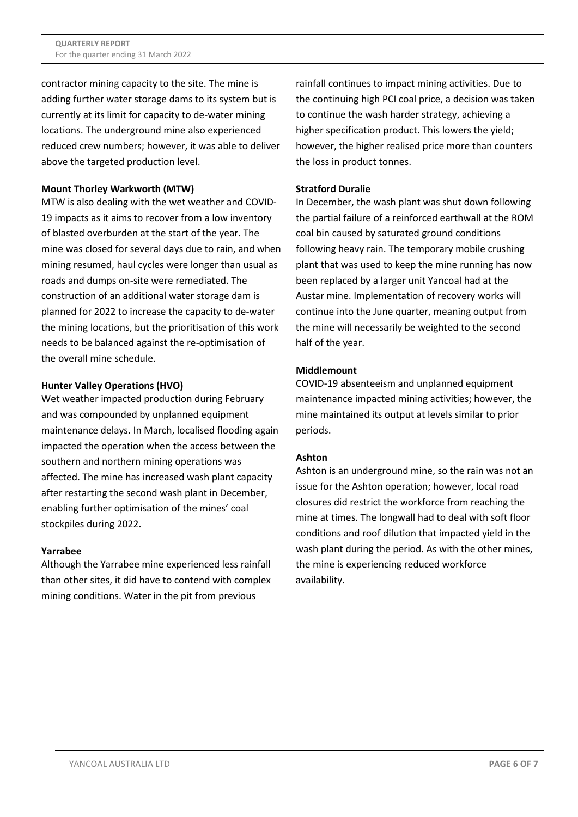contractor mining capacity to the site. The mine is adding further water storage dams to its system but is currently at its limit for capacity to de-water mining locations. The underground mine also experienced reduced crew numbers; however, it was able to deliver above the targeted production level.

# **Mount Thorley Warkworth (MTW)**

MTW is also dealing with the wet weather and COVID-19 impacts as it aims to recover from a low inventory of blasted overburden at the start of the year. The mine was closed for several days due to rain, and when mining resumed, haul cycles were longer than usual as roads and dumps on-site were remediated. The construction of an additional water storage dam is planned for 2022 to increase the capacity to de-water the mining locations, but the prioritisation of this work needs to be balanced against the re-optimisation of the overall mine schedule.

## **Hunter Valley Operations (HVO)**

Wet weather impacted production during February and was compounded by unplanned equipment maintenance delays. In March, localised flooding again impacted the operation when the access between the southern and northern mining operations was affected. The mine has increased wash plant capacity after restarting the second wash plant in December, enabling further optimisation of the mines' coal stockpiles during 2022.

#### **Yarrabee**

Although the Yarrabee mine experienced less rainfall than other sites, it did have to contend with complex mining conditions. Water in the pit from previous

rainfall continues to impact mining activities. Due to the continuing high PCI coal price, a decision was taken to continue the wash harder strategy, achieving a higher specification product. This lowers the yield; however, the higher realised price more than counters the loss in product tonnes.

## **Stratford Duralie**

In December, the wash plant was shut down following the partial failure of a reinforced earthwall at the ROM coal bin caused by saturated ground conditions following heavy rain. The temporary mobile crushing plant that was used to keep the mine running has now been replaced by a larger unit Yancoal had at the Austar mine. Implementation of recovery works will continue into the June quarter, meaning output from the mine will necessarily be weighted to the second half of the year.

## **Middlemount**

COVID-19 absenteeism and unplanned equipment maintenance impacted mining activities; however, the mine maintained its output at levels similar to prior periods.

# **Ashton**

Ashton is an underground mine, so the rain was not an issue for the Ashton operation; however, local road closures did restrict the workforce from reaching the mine at times. The longwall had to deal with soft floor conditions and roof dilution that impacted yield in the wash plant during the period. As with the other mines, the mine is experiencing reduced workforce availability.